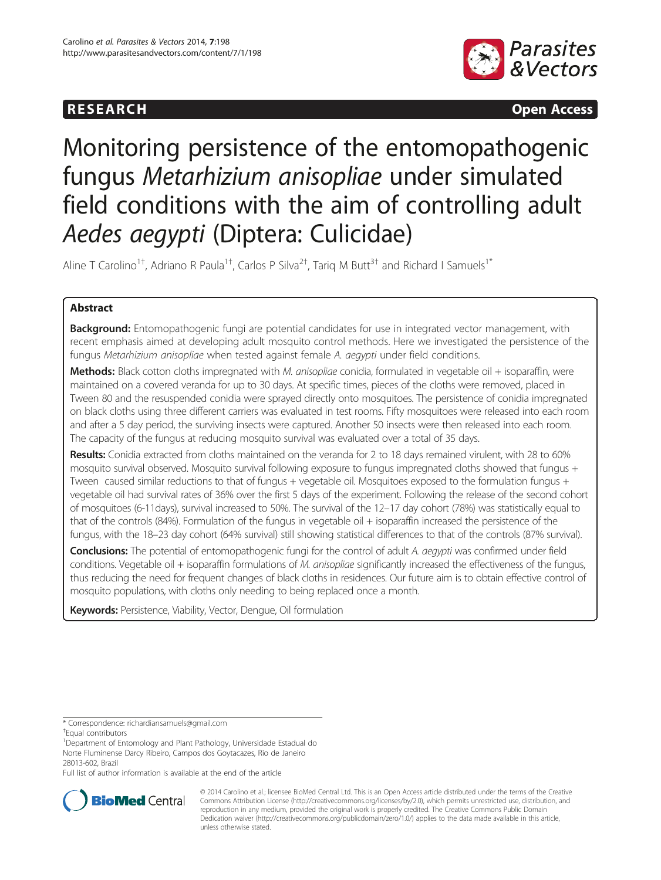

**RESEARCH CHINESEARCH CHINESEARCH CHINESE** 

# Monitoring persistence of the entomopathogenic fungus Metarhizium anisopliae under simulated field conditions with the aim of controlling adult Aedes aegypti (Diptera: Culicidae)

Aline T Carolino<sup>1+</sup>, Adriano R Paula<sup>1+</sup>, Carlos P Silva<sup>2+</sup>, Tariq M Butt<sup>3+</sup> and Richard I Samuels<sup>1\*</sup>

# Abstract

**Background:** Entomopathogenic fungi are potential candidates for use in integrated vector management, with recent emphasis aimed at developing adult mosquito control methods. Here we investigated the persistence of the fungus Metarhizium anisopliae when tested against female A. aegypti under field conditions.

Methods: Black cotton cloths impregnated with M. anisopliae conidia, formulated in vegetable oil + isoparaffin, were maintained on a covered veranda for up to 30 days. At specific times, pieces of the cloths were removed, placed in Tween 80 and the resuspended conidia were sprayed directly onto mosquitoes. The persistence of conidia impregnated on black cloths using three different carriers was evaluated in test rooms. Fifty mosquitoes were released into each room and after a 5 day period, the surviving insects were captured. Another 50 insects were then released into each room. The capacity of the fungus at reducing mosquito survival was evaluated over a total of 35 days.

Results: Conidia extracted from cloths maintained on the veranda for 2 to 18 days remained virulent, with 28 to 60% mosquito survival observed. Mosquito survival following exposure to fungus impregnated cloths showed that fungus + Tween caused similar reductions to that of fungus + vegetable oil. Mosquitoes exposed to the formulation fungus + vegetable oil had survival rates of 36% over the first 5 days of the experiment. Following the release of the second cohort of mosquitoes (6-11days), survival increased to 50%. The survival of the 12–17 day cohort (78%) was statistically equal to that of the controls (84%). Formulation of the fungus in vegetable oil + isoparaffin increased the persistence of the fungus, with the 18–23 day cohort (64% survival) still showing statistical differences to that of the controls (87% survival).

Conclusions: The potential of entomopathogenic fungi for the control of adult A. aegypti was confirmed under field conditions. Vegetable oil + isoparaffin formulations of M. anisopliae significantly increased the effectiveness of the fungus, thus reducing the need for frequent changes of black cloths in residences. Our future aim is to obtain effective control of mosquito populations, with cloths only needing to being replaced once a month.

Keywords: Persistence, Viability, Vector, Dengue, Oil formulation

Full list of author information is available at the end of the article



© 2014 Carolino et al.; licensee BioMed Central Ltd. This is an Open Access article distributed under the terms of the Creative Commons Attribution License [\(http://creativecommons.org/licenses/by/2.0\)](http://creativecommons.org/licenses/by/2.0), which permits unrestricted use, distribution, and reproduction in any medium, provided the original work is properly credited. The Creative Commons Public Domain Dedication waiver [\(http://creativecommons.org/publicdomain/zero/1.0/](http://creativecommons.org/publicdomain/zero/1.0/)) applies to the data made available in this article, unless otherwise stated.

<sup>\*</sup> Correspondence: [richardiansamuels@gmail.com](mailto:richardiansamuels@gmail.com) †

Equal contributors

<sup>&</sup>lt;sup>1</sup>Department of Entomology and Plant Pathology, Universidade Estadual do Norte Fluminense Darcy Ribeiro, Campos dos Goytacazes, Rio de Janeiro 28013-602, Brazil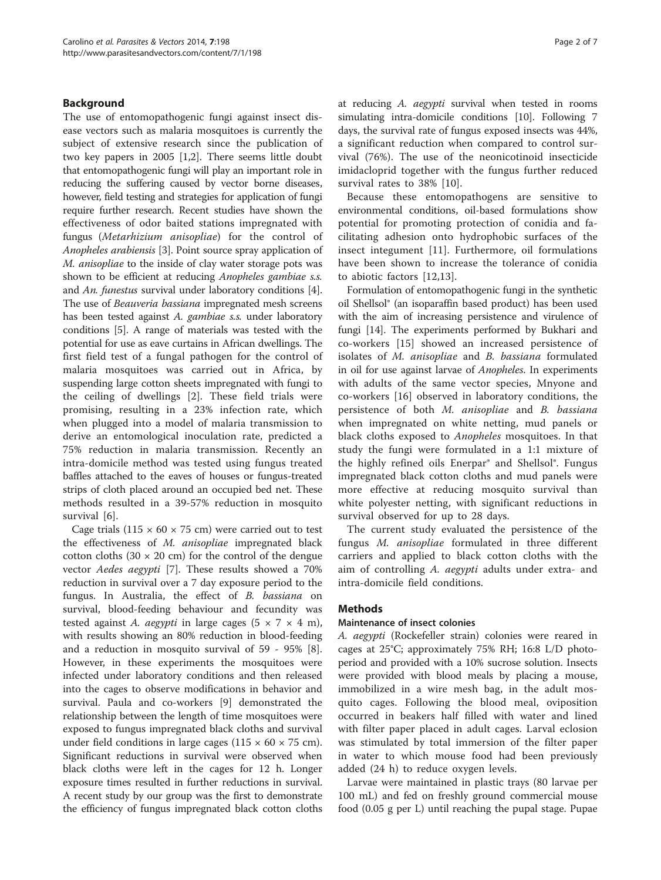# Background

The use of entomopathogenic fungi against insect disease vectors such as malaria mosquitoes is currently the subject of extensive research since the publication of two key papers in 2005 [[1,2\]](#page-5-0). There seems little doubt that entomopathogenic fungi will play an important role in reducing the suffering caused by vector borne diseases, however, field testing and strategies for application of fungi require further research. Recent studies have shown the effectiveness of odor baited stations impregnated with fungus (Metarhizium anisopliae) for the control of Anopheles arabiensis [\[3\]](#page-5-0). Point source spray application of M. anisopliae to the inside of clay water storage pots was shown to be efficient at reducing Anopheles gambiae s.s. and An. funestus survival under laboratory conditions [[4](#page-5-0)]. The use of Beauveria bassiana impregnated mesh screens has been tested against A. gambiae s.s. under laboratory conditions [[5\]](#page-6-0). A range of materials was tested with the potential for use as eave curtains in African dwellings. The first field test of a fungal pathogen for the control of malaria mosquitoes was carried out in Africa, by suspending large cotton sheets impregnated with fungi to the ceiling of dwellings [\[2](#page-5-0)]. These field trials were promising, resulting in a 23% infection rate, which when plugged into a model of malaria transmission to derive an entomological inoculation rate, predicted a 75% reduction in malaria transmission. Recently an intra-domicile method was tested using fungus treated baffles attached to the eaves of houses or fungus-treated strips of cloth placed around an occupied bed net. These methods resulted in a 39-57% reduction in mosquito survival [\[6](#page-6-0)].

Cage trials (115  $\times$  60  $\times$  75 cm) were carried out to test the effectiveness of M. anisopliae impregnated black cotton cloths (30  $\times$  20 cm) for the control of the dengue vector Aedes aegypti [[7\]](#page-6-0). These results showed a 70% reduction in survival over a 7 day exposure period to the fungus. In Australia, the effect of B. bassiana on survival, blood-feeding behaviour and fecundity was tested against A. *aegypti* in large cages  $(5 \times 7 \times 4 \text{ m})$ , with results showing an 80% reduction in blood-feeding and a reduction in mosquito survival of 59 - 95% [\[8](#page-6-0)]. However, in these experiments the mosquitoes were infected under laboratory conditions and then released into the cages to observe modifications in behavior and survival. Paula and co-workers [\[9\]](#page-6-0) demonstrated the relationship between the length of time mosquitoes were exposed to fungus impregnated black cloths and survival under field conditions in large cages ( $115 \times 60 \times 75$  cm). Significant reductions in survival were observed when black cloths were left in the cages for 12 h. Longer exposure times resulted in further reductions in survival. A recent study by our group was the first to demonstrate the efficiency of fungus impregnated black cotton cloths

at reducing A. aegypti survival when tested in rooms simulating intra-domicile conditions [\[10\]](#page-6-0). Following 7 days, the survival rate of fungus exposed insects was 44%, a significant reduction when compared to control survival (76%). The use of the neonicotinoid insecticide imidacloprid together with the fungus further reduced survival rates to 38% [\[10](#page-6-0)].

Because these entomopathogens are sensitive to environmental conditions, oil-based formulations show potential for promoting protection of conidia and facilitating adhesion onto hydrophobic surfaces of the insect integument [[11\]](#page-6-0). Furthermore, oil formulations have been shown to increase the tolerance of conidia to abiotic factors [\[12,13](#page-6-0)].

Formulation of entomopathogenic fungi in the synthetic oil Shellsol® (an isoparaffin based product) has been used with the aim of increasing persistence and virulence of fungi [[14\]](#page-6-0). The experiments performed by Bukhari and co-workers [\[15](#page-6-0)] showed an increased persistence of isolates of M. anisopliae and B. bassiana formulated in oil for use against larvae of Anopheles. In experiments with adults of the same vector species, Mnyone and co-workers [\[16](#page-6-0)] observed in laboratory conditions, the persistence of both M. anisopliae and B. bassiana when impregnated on white netting, mud panels or black cloths exposed to Anopheles mosquitoes. In that study the fungi were formulated in a 1:1 mixture of the highly refined oils Enerpar® and Shellsol®. Fungus impregnated black cotton cloths and mud panels were more effective at reducing mosquito survival than white polyester netting, with significant reductions in survival observed for up to 28 days.

The current study evaluated the persistence of the fungus M. anisopliae formulated in three different carriers and applied to black cotton cloths with the aim of controlling A. aegypti adults under extra- and intra-domicile field conditions.

# Methods

#### Maintenance of insect colonies

A. aegypti (Rockefeller strain) colonies were reared in cages at 25°C; approximately 75% RH; 16:8 L/D photoperiod and provided with a 10% sucrose solution. Insects were provided with blood meals by placing a mouse, immobilized in a wire mesh bag, in the adult mosquito cages. Following the blood meal, oviposition occurred in beakers half filled with water and lined with filter paper placed in adult cages. Larval eclosion was stimulated by total immersion of the filter paper in water to which mouse food had been previously added (24 h) to reduce oxygen levels.

Larvae were maintained in plastic trays (80 larvae per 100 mL) and fed on freshly ground commercial mouse food (0.05 g per L) until reaching the pupal stage. Pupae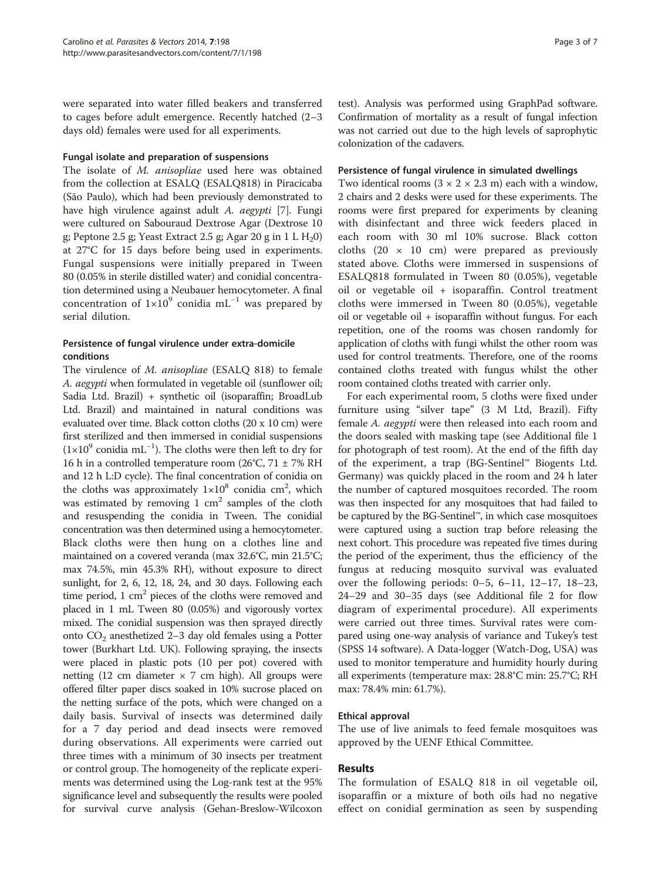were separated into water filled beakers and transferred to cages before adult emergence. Recently hatched (2–3 days old) females were used for all experiments.

#### Fungal isolate and preparation of suspensions

The isolate of M. anisopliae used here was obtained from the collection at ESALQ (ESALQ818) in Piracicaba (São Paulo), which had been previously demonstrated to have high virulence against adult A. aegypti [[7](#page-6-0)]. Fungi were cultured on Sabouraud Dextrose Agar (Dextrose 10 g; Peptone 2.5 g; Yeast Extract 2.5 g; Agar 20 g in  $1 L H<sub>2</sub>0$ ) at 27°C for 15 days before being used in experiments. Fungal suspensions were initially prepared in Tween 80 (0.05% in sterile distilled water) and conidial concentration determined using a Neubauer hemocytometer. A final concentration of  $1\times10^9$  conidia mL<sup>-1</sup> was prepared by serial dilution.

# Persistence of fungal virulence under extra-domicile conditions

The virulence of M. anisopliae (ESALQ 818) to female A. aegypti when formulated in vegetable oil (sunflower oil; Sadia Ltd. Brazil) + synthetic oil (isoparaffin; BroadLub Ltd. Brazil) and maintained in natural conditions was evaluated over time. Black cotton cloths (20 x 10 cm) were first sterilized and then immersed in conidial suspensions  $(1\times10^{9}$  conidia mL<sup>-1</sup>). The cloths were then left to dry for 16 h in a controlled temperature room (26°C, 71  $\pm$  7% RH and 12 h L:D cycle). The final concentration of conidia on the cloths was approximately  $1\times10^8$  conidia cm<sup>2</sup>, which was estimated by removing 1  $\text{cm}^2$  samples of the cloth and resuspending the conidia in Tween. The conidial concentration was then determined using a hemocytometer. Black cloths were then hung on a clothes line and maintained on a covered veranda (max 32.6°C, min 21.5°C; max 74.5%, min 45.3% RH), without exposure to direct sunlight, for 2, 6, 12, 18, 24, and 30 days. Following each time period,  $1 \text{ cm}^2$  pieces of the cloths were removed and placed in 1 mL Tween 80 (0.05%) and vigorously vortex mixed. The conidial suspension was then sprayed directly onto  $CO<sub>2</sub>$  anesthetized 2–3 day old females using a Potter tower (Burkhart Ltd. UK). Following spraying, the insects were placed in plastic pots (10 per pot) covered with netting (12 cm diameter  $\times$  7 cm high). All groups were offered filter paper discs soaked in 10% sucrose placed on the netting surface of the pots, which were changed on a daily basis. Survival of insects was determined daily for a 7 day period and dead insects were removed during observations. All experiments were carried out three times with a minimum of 30 insects per treatment or control group. The homogeneity of the replicate experiments was determined using the Log-rank test at the 95% significance level and subsequently the results were pooled for survival curve analysis (Gehan-Breslow-Wilcoxon test). Analysis was performed using GraphPad software. Confirmation of mortality as a result of fungal infection was not carried out due to the high levels of saprophytic colonization of the cadavers.

#### Persistence of fungal virulence in simulated dwellings

Two identical rooms  $(3 \times 2 \times 2.3 \text{ m})$  each with a window, 2 chairs and 2 desks were used for these experiments. The rooms were first prepared for experiments by cleaning with disinfectant and three wick feeders placed in each room with 30 ml 10% sucrose. Black cotton cloths  $(20 \times 10 \text{ cm})$  were prepared as previously stated above. Cloths were immersed in suspensions of ESALQ818 formulated in Tween 80 (0.05%), vegetable oil or vegetable oil + isoparaffin. Control treatment cloths were immersed in Tween 80 (0.05%), vegetable oil or vegetable oil + isoparaffin without fungus. For each repetition, one of the rooms was chosen randomly for application of cloths with fungi whilst the other room was used for control treatments. Therefore, one of the rooms contained cloths treated with fungus whilst the other room contained cloths treated with carrier only.

For each experimental room, 5 cloths were fixed under furniture using "silver tape" (3 M Ltd, Brazil). Fifty female A. aegypti were then released into each room and the doors sealed with masking tape (see Additional file [1](#page-5-0) for photograph of test room). At the end of the fifth day of the experiment, a trap (BG-Sentinel™ Biogents Ltd. Germany) was quickly placed in the room and 24 h later the number of captured mosquitoes recorded. The room was then inspected for any mosquitoes that had failed to be captured by the BG-Sentinel™, in which case mosquitoes were captured using a suction trap before releasing the next cohort. This procedure was repeated five times during the period of the experiment, thus the efficiency of the fungus at reducing mosquito survival was evaluated over the following periods: 0–5, 6–11, 12–17, 18–23, 24–29 and 30–35 days (see Additional file [2](#page-5-0) for flow diagram of experimental procedure). All experiments were carried out three times. Survival rates were compared using one-way analysis of variance and Tukey's test (SPSS 14 software). A Data-logger (Watch-Dog, USA) was used to monitor temperature and humidity hourly during all experiments (temperature max: 28.8°C min: 25.7°C; RH max: 78.4% min: 61.7%).

# Ethical approval

The use of live animals to feed female mosquitoes was approved by the UENF Ethical Committee.

#### Results

The formulation of ESALQ 818 in oil vegetable oil, isoparaffin or a mixture of both oils had no negative effect on conidial germination as seen by suspending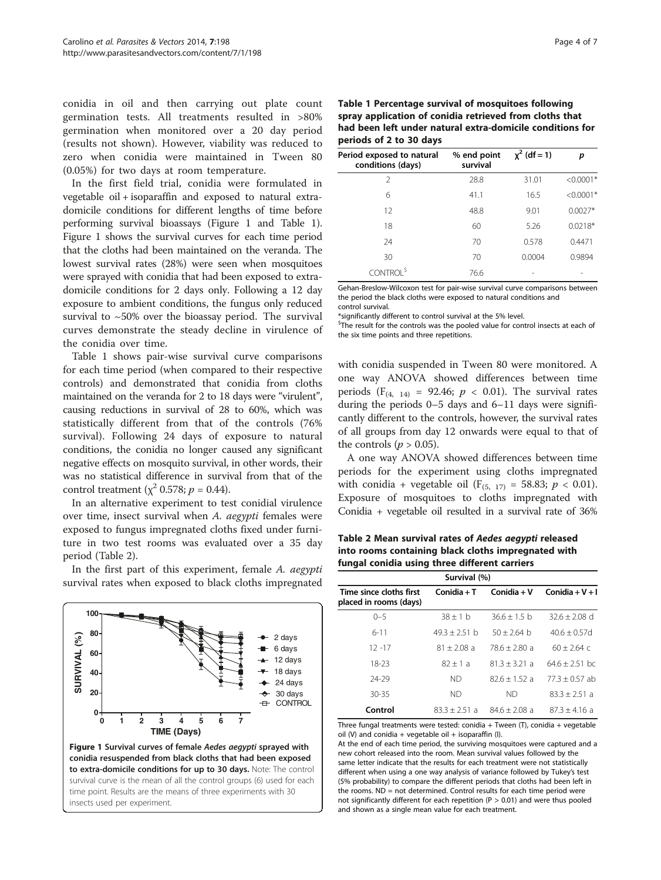<span id="page-3-0"></span>conidia in oil and then carrying out plate count germination tests. All treatments resulted in >80% germination when monitored over a 20 day period (results not shown). However, viability was reduced to zero when conidia were maintained in Tween 80 (0.05%) for two days at room temperature.

In the first field trial, conidia were formulated in vegetable oil + isoparaffin and exposed to natural extradomicile conditions for different lengths of time before performing survival bioassays (Figure 1 and Table 1). Figure 1 shows the survival curves for each time period that the cloths had been maintained on the veranda. The lowest survival rates (28%) were seen when mosquitoes were sprayed with conidia that had been exposed to extradomicile conditions for 2 days only. Following a 12 day exposure to ambient conditions, the fungus only reduced survival to  $~50\%$  over the bioassay period. The survival curves demonstrate the steady decline in virulence of the conidia over time.

Table 1 shows pair-wise survival curve comparisons for each time period (when compared to their respective controls) and demonstrated that conidia from cloths maintained on the veranda for 2 to 18 days were "virulent", causing reductions in survival of 28 to 60%, which was statistically different from that of the controls (76% survival). Following 24 days of exposure to natural conditions, the conidia no longer caused any significant negative effects on mosquito survival, in other words, their was no statistical difference in survival from that of the control treatment ( $\chi^2$  0.578;  $p = 0.44$ ).

In an alternative experiment to test conidial virulence over time, insect survival when A. aegypti females were exposed to fungus impregnated cloths fixed under furniture in two test rooms was evaluated over a 35 day period (Table 2).

In the first part of this experiment, female A. aegypti survival rates when exposed to black cloths impregnated



| Table 1 Percentage survival of mosquitoes following       |
|-----------------------------------------------------------|
| spray application of conidia retrieved from cloths that   |
| had been left under natural extra-domicile conditions for |
| periods of 2 to 30 days                                   |

| Period exposed to natural<br>conditions (days) | % end point<br>survival | $x^2$ (df = 1) | р           |
|------------------------------------------------|-------------------------|----------------|-------------|
| $\mathfrak{D}$                                 | 28.8                    | 31.01          | $< 0.0001*$ |
| 6                                              | 41.1                    | 16.5           | $< 0.0001*$ |
| 12                                             | 48.8                    | 9.01           | $0.0027*$   |
| 18                                             | 60                      | 5.26           | $0.0218*$   |
| 24                                             | 70                      | 0.578          | 0.4471      |
| 30                                             | 70                      | 0.0004         | 0.9894      |
| CONTROL <sup>5</sup>                           | 76.6                    |                |             |

Gehan-Breslow-Wilcoxon test for pair-wise survival curve comparisons between the period the black cloths were exposed to natural conditions and control survival.

\*significantly different to control survival at the 5% level.

<sup>\$</sup>The result for the controls was the pooled value for control insects at each of the six time points and three repetitions.

with conidia suspended in Tween 80 were monitored. A one way ANOVA showed differences between time periods ( $F_{(4, 14)} = 92.46$ ;  $p < 0.01$ ). The survival rates during the periods 0–5 days and 6–11 days were significantly different to the controls, however, the survival rates of all groups from day 12 onwards were equal to that of the controls ( $p > 0.05$ ).

A one way ANOVA showed differences between time periods for the experiment using cloths impregnated with conidia + vegetable oil  $(F_{(5, 17)} = 58.83; p < 0.01)$ . Exposure of mosquitoes to cloths impregnated with Conidia + vegetable oil resulted in a survival rate of 36%

Table 2 Mean survival rates of Aedes aegypti released into rooms containing black cloths impregnated with fungal conidia using three different carriers

| Survival (%)                                      |                 |                 |                   |  |  |
|---------------------------------------------------|-----------------|-----------------|-------------------|--|--|
| Time since cloths first<br>placed in rooms (days) | $Conidia + T$   | $Conidia + V$   | $Conidia + V + I$ |  |  |
| $0 - 5$                                           | $38 + 1 h$      | $36.6 + 1.5$ b  | $32.6 + 2.08$ d   |  |  |
| $6 - 11$                                          | $49.3 + 2.51$ b | $50 + 2.64$ b   | $40.6 + 0.57d$    |  |  |
| $12 - 17$                                         | $81 + 2.08$ a   | $78.6 + 2.80a$  | $60 + 2.64$ c     |  |  |
| 18-23                                             | $82 \pm 1$ a    | $81.3 + 3.21$ a | $64.6 + 2.51$ bc  |  |  |
| $74 - 79$                                         | <b>ND</b>       | $82.6 + 1.52a$  | $77.3 + 0.57$ ab  |  |  |
| $30 - 35$                                         | ND.             | ND              | $83.3 + 2.51$ a   |  |  |
| Control                                           | $83.3 + 2.51$ a | $84.6 + 2.08$ a | $87.3 \pm 4.16$ a |  |  |

Three fungal treatments were tested: conidia + Tween (T), conidia + vegetable oil (V) and conidia + vegetable oil + isoparaffin (I).

At the end of each time period, the surviving mosquitoes were captured and a new cohort released into the room. Mean survival values followed by the same letter indicate that the results for each treatment were not statistically different when using a one way analysis of variance followed by Tukey's test (5% probability) to compare the different periods that cloths had been left in the rooms. ND = not determined. Control results for each time period were not significantly different for each repetition ( $P > 0.01$ ) and were thus pooled and shown as a single mean value for each treatment.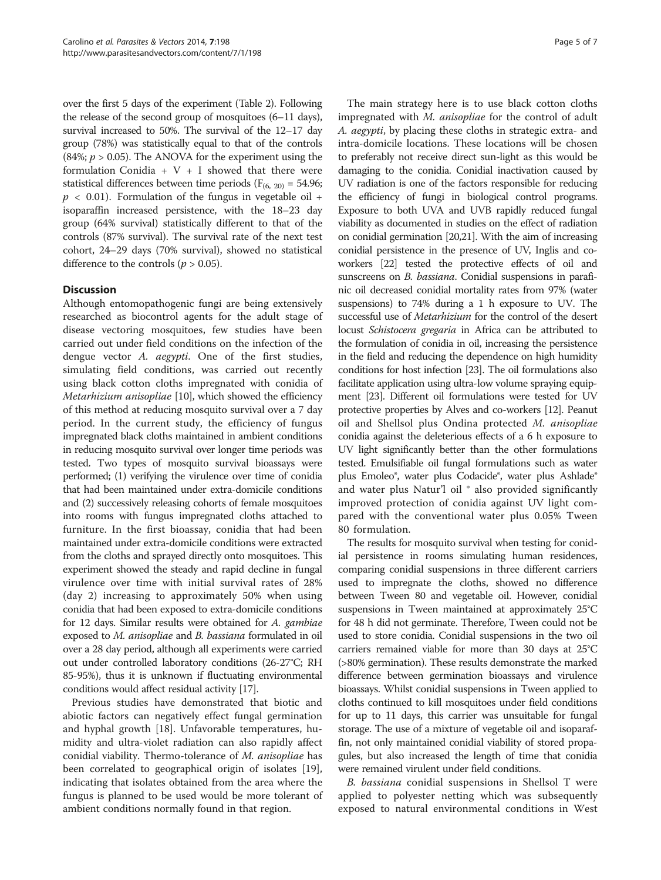over the first 5 days of the experiment (Table [2](#page-3-0)). Following the release of the second group of mosquitoes (6–11 days), survival increased to 50%. The survival of the 12–17 day group (78%) was statistically equal to that of the controls (84%;  $p > 0.05$ ). The ANOVA for the experiment using the formulation Conidia  $+ V + I$  showed that there were statistical differences between time periods ( $F_{(6, 20)} = 54.96$ ;  $p \sim 0.01$ ). Formulation of the fungus in vegetable oil + isoparaffin increased persistence, with the 18–23 day group (64% survival) statistically different to that of the controls (87% survival). The survival rate of the next test cohort, 24–29 days (70% survival), showed no statistical difference to the controls ( $p > 0.05$ ).

# **Discussion**

Although entomopathogenic fungi are being extensively researched as biocontrol agents for the adult stage of disease vectoring mosquitoes, few studies have been carried out under field conditions on the infection of the dengue vector A. aegypti. One of the first studies, simulating field conditions, was carried out recently using black cotton cloths impregnated with conidia of Metarhizium anisopliae [[10](#page-6-0)], which showed the efficiency of this method at reducing mosquito survival over a 7 day period. In the current study, the efficiency of fungus impregnated black cloths maintained in ambient conditions in reducing mosquito survival over longer time periods was tested. Two types of mosquito survival bioassays were performed; (1) verifying the virulence over time of conidia that had been maintained under extra-domicile conditions and (2) successively releasing cohorts of female mosquitoes into rooms with fungus impregnated cloths attached to furniture. In the first bioassay, conidia that had been maintained under extra-domicile conditions were extracted from the cloths and sprayed directly onto mosquitoes. This experiment showed the steady and rapid decline in fungal virulence over time with initial survival rates of 28% (day 2) increasing to approximately 50% when using conidia that had been exposed to extra-domicile conditions for 12 days. Similar results were obtained for A. gambiae exposed to M. anisopliae and B. bassiana formulated in oil over a 28 day period, although all experiments were carried out under controlled laboratory conditions (26-27°C; RH 85-95%), thus it is unknown if fluctuating environmental conditions would affect residual activity [\[17\]](#page-6-0).

Previous studies have demonstrated that biotic and abiotic factors can negatively effect fungal germination and hyphal growth [\[18](#page-6-0)]. Unfavorable temperatures, humidity and ultra-violet radiation can also rapidly affect conidial viability. Thermo-tolerance of M. anisopliae has been correlated to geographical origin of isolates [\[19](#page-6-0)], indicating that isolates obtained from the area where the fungus is planned to be used would be more tolerant of ambient conditions normally found in that region.

The main strategy here is to use black cotton cloths impregnated with M. anisopliae for the control of adult A. aegypti, by placing these cloths in strategic extra- and intra-domicile locations. These locations will be chosen to preferably not receive direct sun-light as this would be damaging to the conidia. Conidial inactivation caused by UV radiation is one of the factors responsible for reducing the efficiency of fungi in biological control programs. Exposure to both UVA and UVB rapidly reduced fungal viability as documented in studies on the effect of radiation on conidial germination [\[20,21](#page-6-0)]. With the aim of increasing conidial persistence in the presence of UV, Inglis and coworkers [\[22](#page-6-0)] tested the protective effects of oil and sunscreens on *B. bassiana*. Conidial suspensions in parafinic oil decreased conidial mortality rates from 97% (water suspensions) to 74% during a 1 h exposure to UV. The successful use of Metarhizium for the control of the desert locust Schistocera gregaria in Africa can be attributed to the formulation of conidia in oil, increasing the persistence in the field and reducing the dependence on high humidity conditions for host infection [\[23\]](#page-6-0). The oil formulations also facilitate application using ultra-low volume spraying equipment [[23\]](#page-6-0). Different oil formulations were tested for UV protective properties by Alves and co-workers [[12](#page-6-0)]. Peanut oil and Shellsol plus Ondina protected M. anisopliae conidia against the deleterious effects of a 6 h exposure to UV light significantly better than the other formulations tested. Emulsifiable oil fungal formulations such as water plus Emoleo®, water plus Codacide®, water plus Ashlade® and water plus Natur'l oil ® also provided significantly improved protection of conidia against UV light compared with the conventional water plus 0.05% Tween 80 formulation.

The results for mosquito survival when testing for conidial persistence in rooms simulating human residences, comparing conidial suspensions in three different carriers used to impregnate the cloths, showed no difference between Tween 80 and vegetable oil. However, conidial suspensions in Tween maintained at approximately 25°C for 48 h did not germinate. Therefore, Tween could not be used to store conidia. Conidial suspensions in the two oil carriers remained viable for more than 30 days at 25°C (>80% germination). These results demonstrate the marked difference between germination bioassays and virulence bioassays. Whilst conidial suspensions in Tween applied to cloths continued to kill mosquitoes under field conditions for up to 11 days, this carrier was unsuitable for fungal storage. The use of a mixture of vegetable oil and isoparaffin, not only maintained conidial viability of stored propagules, but also increased the length of time that conidia were remained virulent under field conditions.

B. bassiana conidial suspensions in Shellsol T were applied to polyester netting which was subsequently exposed to natural environmental conditions in West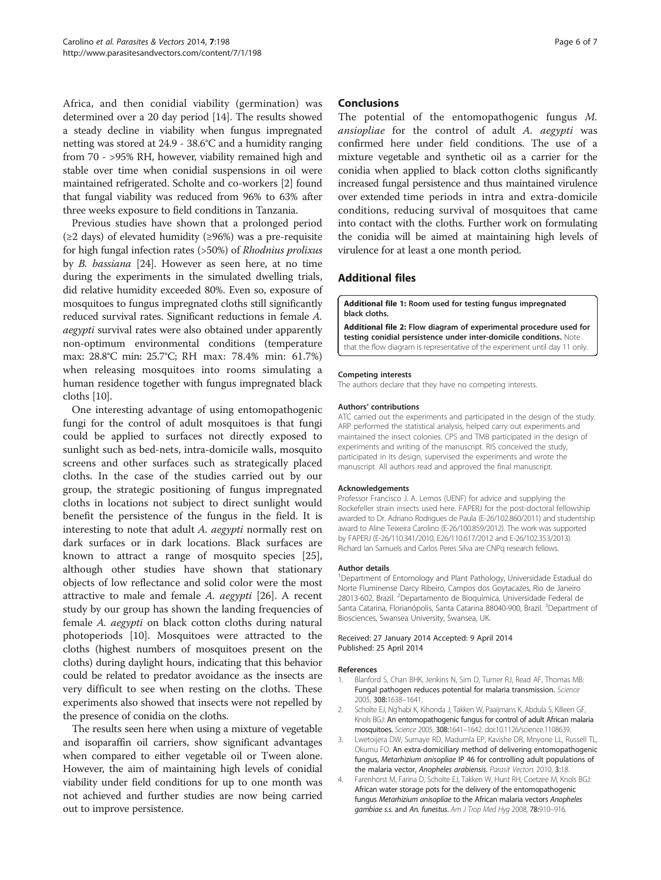<span id="page-5-0"></span>Africa, and then conidial viability (germination) was determined over a 20 day period [\[14](#page-6-0)]. The results showed a steady decline in viability when fungus impregnated netting was stored at 24.9 - 38.6°C and a humidity ranging from 70 - >95% RH, however, viability remained high and stable over time when conidial suspensions in oil were maintained refrigerated. Scholte and co-workers [2] found that fungal viability was reduced from 96% to 63% after three weeks exposure to field conditions in Tanzania.

Previous studies have shown that a prolonged period (≥2 days) of elevated humidity (≥96%) was a pre-requisite for high fungal infection rates (>50%) of Rhodnius prolixus by B. bassiana [\[24\]](#page-6-0). However as seen here, at no time during the experiments in the simulated dwelling trials, did relative humidity exceeded 80%. Even so, exposure of mosquitoes to fungus impregnated cloths still significantly reduced survival rates. Significant reductions in female A. aegypti survival rates were also obtained under apparently non-optimum environmental conditions (temperature max: 28.8°C min: 25.7°C; RH max: 78.4% min: 61.7%) when releasing mosquitoes into rooms simulating a human residence together with fungus impregnated black cloths [\[10\]](#page-6-0).

One interesting advantage of using entomopathogenic fungi for the control of adult mosquitoes is that fungi could be applied to surfaces not directly exposed to sunlight such as bed-nets, intra-domicile walls, mosquito screens and other surfaces such as strategically placed cloths. In the case of the studies carried out by our group, the strategic positioning of fungus impregnated cloths in locations not subject to direct sunlight would benefit the persistence of the fungus in the field. It is interesting to note that adult A. aegypti normally rest on dark surfaces or in dark locations. Black surfaces are known to attract a range of mosquito species [\[25](#page-6-0)], although other studies have shown that stationary objects of low reflectance and solid color were the most attractive to male and female A. aegypti [\[26](#page-6-0)]. A recent study by our group has shown the landing frequencies of female A. aegypti on black cotton cloths during natural photoperiods [\[10\]](#page-6-0). Mosquitoes were attracted to the cloths (highest numbers of mosquitoes present on the cloths) during daylight hours, indicating that this behavior could be related to predator avoidance as the insects are very difficult to see when resting on the cloths. These experiments also showed that insects were not repelled by the presence of conidia on the cloths.

The results seen here when using a mixture of vegetable and isoparaffin oil carriers, show significant advantages when compared to either vegetable oil or Tween alone. However, the aim of maintaining high levels of conidial viability under field conditions for up to one month was not achieved and further studies are now being carried out to improve persistence.

# Conclusions

The potential of the entomopathogenic fungus M. ansiopliae for the control of adult A. aegypti was confirmed here under field conditions. The use of a mixture vegetable and synthetic oil as a carrier for the conidia when applied to black cotton cloths significantly increased fungal persistence and thus maintained virulence over extended time periods in intra and extra-domicile conditions, reducing survival of mosquitoes that came into contact with the cloths. Further work on formulating the conidia will be aimed at maintaining high levels of virulence for at least a one month period.

# Additional files

[Additional file 1:](http://www.biomedcentral.com/content/supplementary/1756-3305-7-198-S1.doc) Room used for testing fungus impregnated black cloths.

[Additional file 2:](http://www.biomedcentral.com/content/supplementary/1756-3305-7-198-S2.ppt) Flow diagram of experimental procedure used for testing conidial persistence under inter-domicile conditions. Note that the flow diagram is representative of the experiment until day 11 only.

#### Competing interests

The authors declare that they have no competing interests.

#### Authors' contributions

ATC carried out the experiments and participated in the design of the study. ARP performed the statistical analysis, helped carry out experiments and maintained the insect colonies. CPS and TMB participated in the design of experiments and writing of the manuscript. RIS conceived the study, participated in its design, supervised the experiments and wrote the manuscript. All authors read and approved the final manuscript.

#### Acknowledgements

Professor Francisco J. A. Lemos (UENF) for advice and supplying the Rockefeller strain insects used here. FAPERJ for the post-doctoral fellowship awarded to Dr. Adriano Rodrigues de Paula (E-26/102.860/2011) and studentship award to Aline Teixeira Carolino (E-26/100.859/2012). The work was supported by FAPERJ (E-26/110.341/2010, E26/110.617/2012 and E-26/102.353/2013). Richard Ian Samuels and Carlos Peres Silva are CNPq research fellows.

#### Author details

<sup>1</sup>Department of Entomology and Plant Pathology, Universidade Estadual do Norte Fluminense Darcy Ribeiro, Campos dos Goytacazes, Rio de Janeiro 28013-602, Brazil. <sup>2</sup>Departamento de Bioquímica, Universidade Federal de Santa Catarina, Florianópolis, Santa Catarina 88040-900, Brazil. <sup>3</sup>Department of Biosciences, Swansea University, Swansea, UK.

#### Received: 27 January 2014 Accepted: 9 April 2014 Published: 25 April 2014

#### References

- 1. Blanford S, Chan BHK, Jenkins N, Sim D, Turner RJ, Read AF, Thomas MB: Fungal pathogen reduces potential for malaria transmission. Science 2005, 308:1638–1641.
- 2. Scholte EJ, Ng'habi K, Kihonda J, Takken W, Paaijmans K, Abdula S, Killeen GF, Knols BGJ: An entomopathogenic fungus for control of adult African malaria mosquitoes. Science 2005, 308:1641–1642. doi:10.1126/science.1108639.
- 3. Lwetoijera DW, Sumaye RD, Madumla EP, Kavishe DR, Mnyone LL, Russell TL, Okumu FO: An extra-domiciliary method of delivering entomopathogenic fungus, Metarhizium anisopliae IP 46 for controlling adult populations of the malaria vector, Anopheles arabiensis. Parasit Vectors 2010, 3:18.
- 4. Farenhorst M, Farina D, Scholte EJ, Takken W, Hunt RH, Coetzee M, Knols BGJ: African water storage pots for the delivery of the entomopathogenic fungus Metarhizium anisopliae to the African malaria vectors Anopheles gambiae s.s. and An. funestus. Am J Trop Med Hyg 2008, 78:910–916.